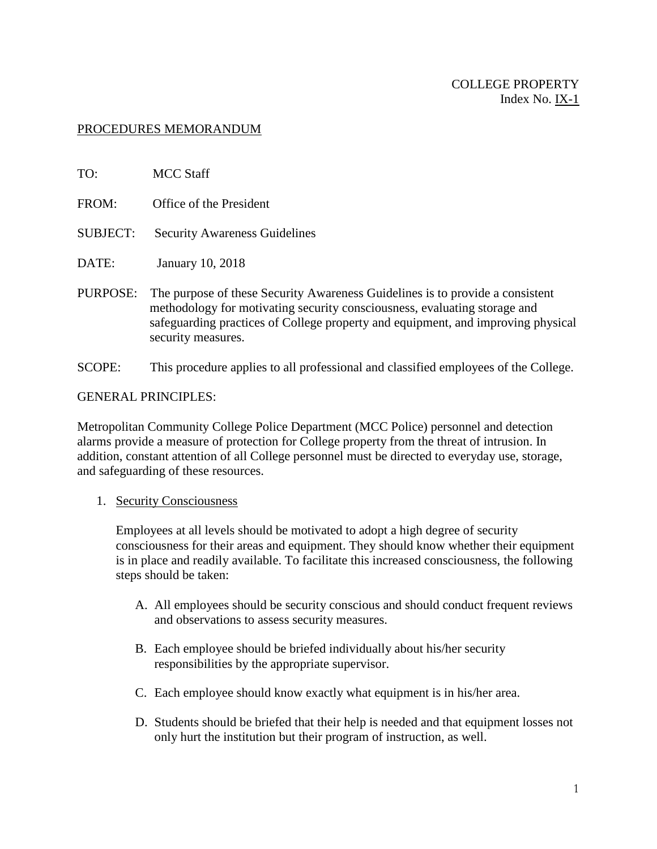### PROCEDURES MEMORANDUM

- TO: MCC Staff FROM: Office of the President SUBJECT: Security Awareness Guidelines DATE: January 10, 2018 PURPOSE: The purpose of these Security Awareness Guidelines is to provide a consistent methodology for motivating security consciousness, evaluating storage and safeguarding practices of College property and equipment, and improving physical security measures.
- SCOPE: This procedure applies to all professional and classified employees of the College.

#### GENERAL PRINCIPLES:

Metropolitan Community College Police Department (MCC Police) personnel and detection alarms provide a measure of protection for College property from the threat of intrusion. In addition, constant attention of all College personnel must be directed to everyday use, storage, and safeguarding of these resources.

#### 1. Security Consciousness

Employees at all levels should be motivated to adopt a high degree of security consciousness for their areas and equipment. They should know whether their equipment is in place and readily available. To facilitate this increased consciousness, the following steps should be taken:

- A. All employees should be security conscious and should conduct frequent reviews and observations to assess security measures.
- B. Each employee should be briefed individually about his/her security responsibilities by the appropriate supervisor.
- C. Each employee should know exactly what equipment is in his/her area.
- D. Students should be briefed that their help is needed and that equipment losses not only hurt the institution but their program of instruction, as well.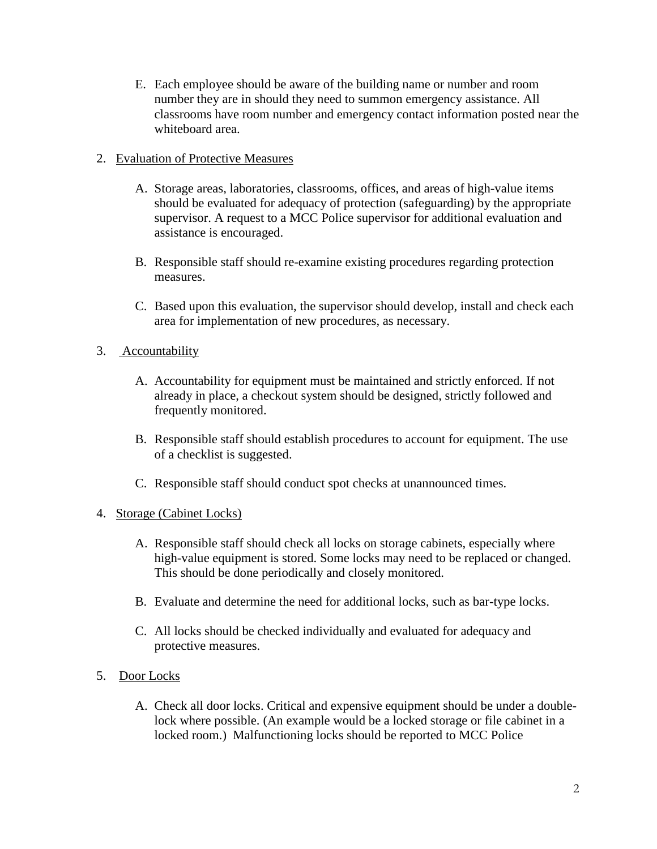E. Each employee should be aware of the building name or number and room number they are in should they need to summon emergency assistance. All classrooms have room number and emergency contact information posted near the whiteboard area.

## 2. Evaluation of Protective Measures

- A. Storage areas, laboratories, classrooms, offices, and areas of high-value items should be evaluated for adequacy of protection (safeguarding) by the appropriate supervisor. A request to a MCC Police supervisor for additional evaluation and assistance is encouraged.
- B. Responsible staff should re-examine existing procedures regarding protection measures.
- C. Based upon this evaluation, the supervisor should develop, install and check each area for implementation of new procedures, as necessary.

# 3. Accountability

- A. Accountability for equipment must be maintained and strictly enforced. If not already in place, a checkout system should be designed, strictly followed and frequently monitored.
- B. Responsible staff should establish procedures to account for equipment. The use of a checklist is suggested.
- C. Responsible staff should conduct spot checks at unannounced times.

### 4. Storage (Cabinet Locks)

- A. Responsible staff should check all locks on storage cabinets, especially where high-value equipment is stored. Some locks may need to be replaced or changed. This should be done periodically and closely monitored.
- B. Evaluate and determine the need for additional locks, such as bar-type locks.
- C. All locks should be checked individually and evaluated for adequacy and protective measures.

### 5. Door Locks

A. Check all door locks. Critical and expensive equipment should be under a doublelock where possible. (An example would be a locked storage or file cabinet in a locked room.) Malfunctioning locks should be reported to MCC Police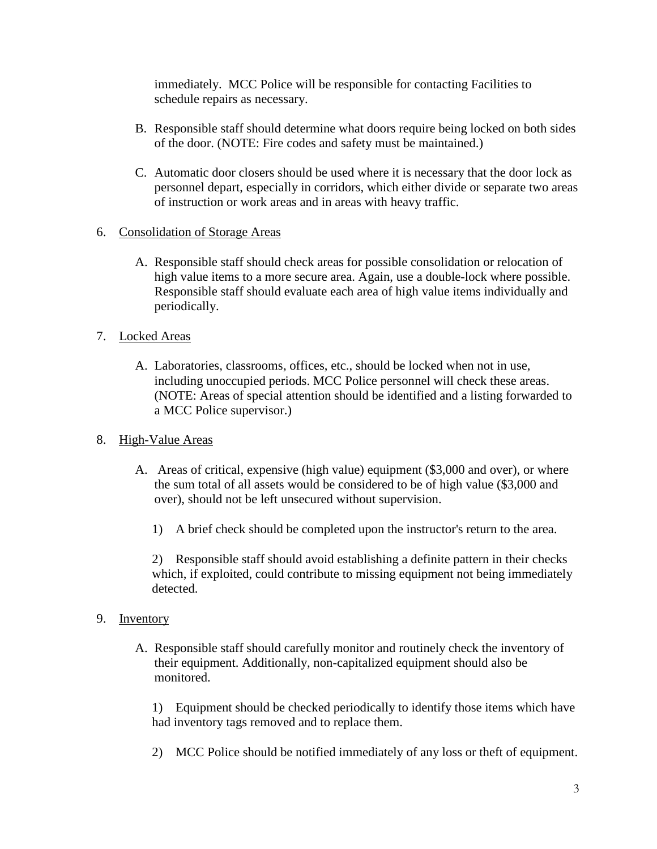immediately. MCC Police will be responsible for contacting Facilities to schedule repairs as necessary.

- B. Responsible staff should determine what doors require being locked on both sides of the door. (NOTE: Fire codes and safety must be maintained.)
- C. Automatic door closers should be used where it is necessary that the door lock as personnel depart, especially in corridors, which either divide or separate two areas of instruction or work areas and in areas with heavy traffic.
- 6. Consolidation of Storage Areas
	- A. Responsible staff should check areas for possible consolidation or relocation of high value items to a more secure area. Again, use a double-lock where possible. Responsible staff should evaluate each area of high value items individually and periodically.
- 7. Locked Areas
	- A. Laboratories, classrooms, offices, etc., should be locked when not in use, including unoccupied periods. MCC Police personnel will check these areas. (NOTE: Areas of special attention should be identified and a listing forwarded to a MCC Police supervisor.)
- 8. High-Value Areas
	- A. Areas of critical, expensive (high value) equipment (\$3,000 and over), or where the sum total of all assets would be considered to be of high value (\$3,000 and over), should not be left unsecured without supervision.
		- 1) A brief check should be completed upon the instructor's return to the area.

2) Responsible staff should avoid establishing a definite pattern in their checks which, if exploited, could contribute to missing equipment not being immediately detected.

- 9. Inventory
	- A. Responsible staff should carefully monitor and routinely check the inventory of their equipment. Additionally, non-capitalized equipment should also be monitored.

1) Equipment should be checked periodically to identify those items which have had inventory tags removed and to replace them.

2) MCC Police should be notified immediately of any loss or theft of equipment.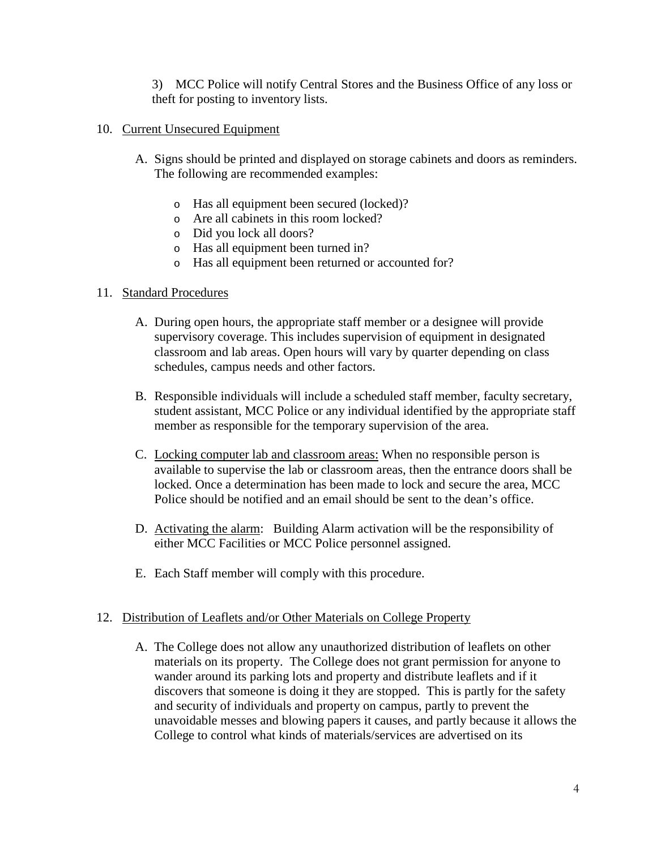3) MCC Police will notify Central Stores and the Business Office of any loss or theft for posting to inventory lists.

### 10. Current Unsecured Equipment

- A. Signs should be printed and displayed on storage cabinets and doors as reminders. The following are recommended examples:
	- o Has all equipment been secured (locked)?
	- o Are all cabinets in this room locked?
	- o Did you lock all doors?
	- o Has all equipment been turned in?
	- o Has all equipment been returned or accounted for?

#### 11. Standard Procedures

- A. During open hours, the appropriate staff member or a designee will provide supervisory coverage. This includes supervision of equipment in designated classroom and lab areas. Open hours will vary by quarter depending on class schedules, campus needs and other factors.
- B. Responsible individuals will include a scheduled staff member, faculty secretary, student assistant, MCC Police or any individual identified by the appropriate staff member as responsible for the temporary supervision of the area.
- C. Locking computer lab and classroom areas: When no responsible person is available to supervise the lab or classroom areas, then the entrance doors shall be locked. Once a determination has been made to lock and secure the area, MCC Police should be notified and an email should be sent to the dean's office.
- D. Activating the alarm: Building Alarm activation will be the responsibility of either MCC Facilities or MCC Police personnel assigned.
- E. Each Staff member will comply with this procedure.

#### 12. Distribution of Leaflets and/or Other Materials on College Property

A. The College does not allow any unauthorized distribution of leaflets on other materials on its property. The College does not grant permission for anyone to wander around its parking lots and property and distribute leaflets and if it discovers that someone is doing it they are stopped. This is partly for the safety and security of individuals and property on campus, partly to prevent the unavoidable messes and blowing papers it causes, and partly because it allows the College to control what kinds of materials/services are advertised on its